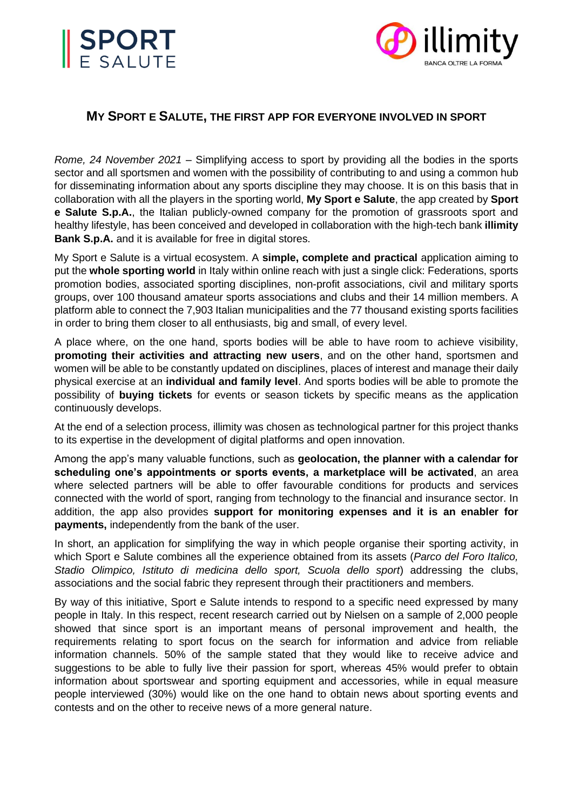



# **MY SPORT E SALUTE, THE FIRST APP FOR EVERYONE INVOLVED IN SPORT**

*Rome, 24 November 2021* – Simplifying access to sport by providing all the bodies in the sports sector and all sportsmen and women with the possibility of contributing to and using a common hub for disseminating information about any sports discipline they may choose. It is on this basis that in collaboration with all the players in the sporting world, **My Sport e Salute**, the app created by **Sport e Salute S.p.A.**, the Italian publicly-owned company for the promotion of grassroots sport and healthy lifestyle, has been conceived and developed in collaboration with the high-tech bank **illimity Bank S.p.A.** and it is available for free in digital stores.

My Sport e Salute is a virtual ecosystem. A **simple, complete and practical** application aiming to put the **whole sporting world** in Italy within online reach with just a single click: Federations, sports promotion bodies, associated sporting disciplines, non-profit associations, civil and military sports groups, over 100 thousand amateur sports associations and clubs and their 14 million members. A platform able to connect the 7,903 Italian municipalities and the 77 thousand existing sports facilities in order to bring them closer to all enthusiasts, big and small, of every level.

A place where, on the one hand, sports bodies will be able to have room to achieve visibility, **promoting their activities and attracting new users**, and on the other hand, sportsmen and women will be able to be constantly updated on disciplines, places of interest and manage their daily physical exercise at an **individual and family level**. And sports bodies will be able to promote the possibility of **buying tickets** for events or season tickets by specific means as the application continuously develops.

At the end of a selection process, illimity was chosen as technological partner for this project thanks to its expertise in the development of digital platforms and open innovation.

Among the app's many valuable functions, such as **geolocation, the planner with a calendar for scheduling one's appointments or sports events, a marketplace will be activated**, an area where selected partners will be able to offer favourable conditions for products and services connected with the world of sport, ranging from technology to the financial and insurance sector. In addition, the app also provides **support for monitoring expenses and it is an enabler for payments,** independently from the bank of the user.

In short, an application for simplifying the way in which people organise their sporting activity, in which Sport e Salute combines all the experience obtained from its assets (*Parco del Foro Italico, Stadio Olimpico, Istituto di medicina dello sport, Scuola dello sport*) addressing the clubs, associations and the social fabric they represent through their practitioners and members.

By way of this initiative, Sport e Salute intends to respond to a specific need expressed by many people in Italy. In this respect, recent research carried out by Nielsen on a sample of 2,000 people showed that since sport is an important means of personal improvement and health, the requirements relating to sport focus on the search for information and advice from reliable information channels. 50% of the sample stated that they would like to receive advice and suggestions to be able to fully live their passion for sport, whereas 45% would prefer to obtain information about sportswear and sporting equipment and accessories, while in equal measure people interviewed (30%) would like on the one hand to obtain news about sporting events and contests and on the other to receive news of a more general nature.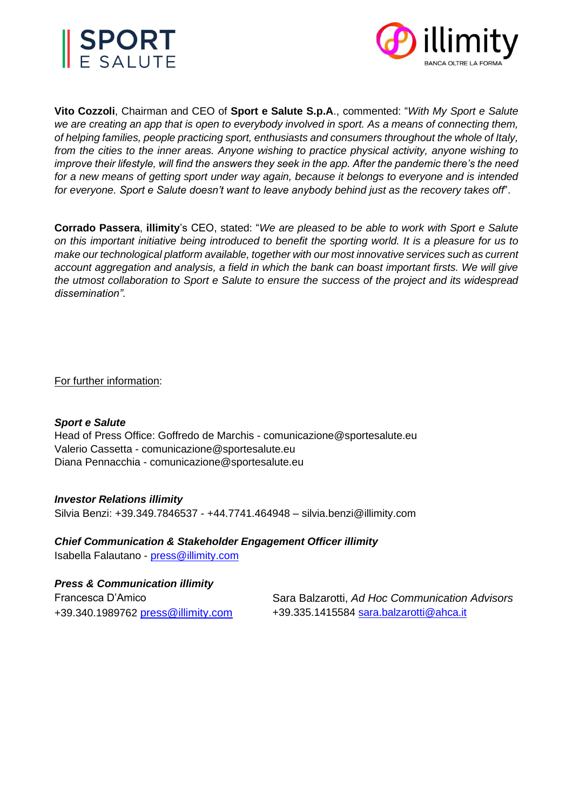



**Vito Cozzoli**, Chairman and CEO of **Sport e Salute S.p.A**., commented: "*With My Sport e Salute we are creating an app that is open to everybody involved in sport. As a means of connecting them, of helping families, people practicing sport, enthusiasts and consumers throughout the whole of Italy, from the cities to the inner areas. Anyone wishing to practice physical activity, anyone wishing to improve their lifestyle, will find the answers they seek in the app. After the pandemic there's the need for a new means of getting sport under way again, because it belongs to everyone and is intended for everyone. Sport e Salute doesn't want to leave anybody behind just as the recovery takes off'*.

**Corrado Passera**, **illimity**'s CEO, stated: "*We are pleased to be able to work with Sport e Salute on this important initiative being introduced to benefit the sporting world. It is a pleasure for us to make our technological platform available, together with our most innovative services such as current account aggregation and analysis, a field in which the bank can boast important firsts. We will give the utmost collaboration to Sport e Salute to ensure the success of the project and its widespread dissemination".*

For further information:

### *Sport e Salute*

Head of Press Office: Goffredo de Marchis - comunicazione@sportesalute.eu Valerio Cassetta - [comunicazione@sportesalute.eu](mailto:comunicazione@sportesalute.eu) Diana Pennacchia - comunicazione@sportesalute.eu

### *Investor Relations illimity*

Silvia Benzi: +39.349.7846537 - +44.7741.464948 – silvia.benzi@illimity.com

### *Chief Communication & Stakeholder Engagement Officer illimity*

Isabella Falautano - [press@illimity.com](mailto:press@illimity.com)

## *Press & Communication illimity*

| Francesca D'Amico                  | Sara Balzarotti, Ad Hoc Communication Advisors |
|------------------------------------|------------------------------------------------|
| +39.340.1989762 press@illimity.com | +39.335.1415584 sara.balzarotti@ahca.it        |